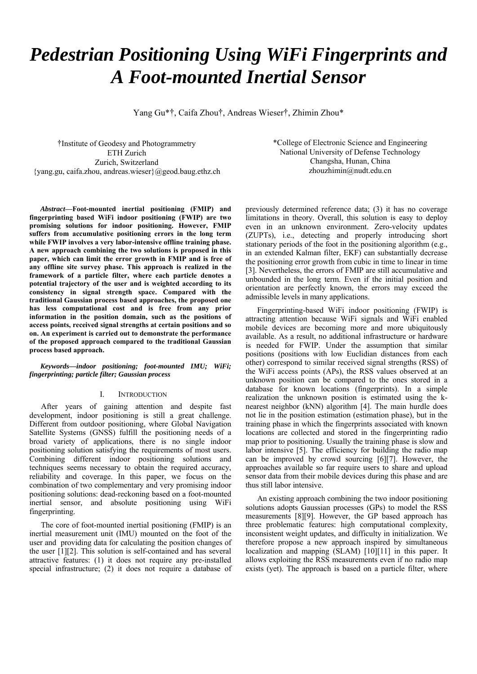# *Pedestrian Positioning Using WiFi Fingerprints and A Foot-mounted Inertial Sensor*

Yang Gu\*†, Caifa Zhou†, Andreas Wieser†, Zhimin Zhou\*

†Institute of Geodesy and Photogrammetry ETH Zurich Zurich, Switzerland {yang.gu, caifa.zhou, andreas.wieser}@geod.baug.ethz.ch

*Abstract***—Foot-mounted inertial positioning (FMIP) and fingerprinting based WiFi indoor positioning (FWIP) are two promising solutions for indoor positioning. However, FMIP suffers from accumulative positioning errors in the long term while FWIP involves a very labor-intensive offline training phase. A new approach combining the two solutions is proposed in this paper, which can limit the error growth in FMIP and is free of any offline site survey phase. This approach is realized in the framework of a particle filter, where each particle denotes a potential trajectory of the user and is weighted according to its consistency in signal strength space. Compared with the traditional Gaussian process based approaches, the proposed one has less computational cost and is free from any prior information in the position domain, such as the positions of access points, received signal strengths at certain positions and so on. An experiment is carried out to demonstrate the performance of the proposed approach compared to the traditional Gaussian process based approach.** 

*Keywords—indoor positioning; foot-mounted IMU; WiFi; fingerprinting; particle filter; Gaussian process* 

#### I. INTRODUCTION

After years of gaining attention and despite fast development, indoor positioning is still a great challenge. Different from outdoor positioning, where Global Navigation Satellite Systems (GNSS) fulfill the positioning needs of a broad variety of applications, there is no single indoor positioning solution satisfying the requirements of most users. Combining different indoor positioning solutions and techniques seems necessary to obtain the required accuracy, reliability and coverage. In this paper, we focus on the combination of two complementary and very promising indoor positioning solutions: dead-reckoning based on a foot-mounted inertial sensor, and absolute positioning using WiFi fingerprinting.

The core of foot-mounted inertial positioning (FMIP) is an inertial measurement unit (IMU) mounted on the foot of the user and providing data for calculating the position changes of the user [1][2]. This solution is self-contained and has several attractive features: (1) it does not require any pre-installed special infrastructure; (2) it does not require a database of \*College of Electronic Science and Engineering National University of Defense Technology Changsha, Hunan, China zhouzhimin@nudt.edu.cn

previously determined reference data; (3) it has no coverage limitations in theory. Overall, this solution is easy to deploy even in an unknown environment. Zero-velocity updates (ZUPTs), i.e., detecting and properly introducing short stationary periods of the foot in the positioning algorithm (e.g., in an extended Kalman filter, EKF) can substantially decrease the positioning error growth from cubic in time to linear in time [3]. Nevertheless, the errors of FMIP are still accumulative and unbounded in the long term. Even if the initial position and orientation are perfectly known, the errors may exceed the admissible levels in many applications.

Fingerprinting-based WiFi indoor positioning (FWIP) is attracting attention because WiFi signals and WiFi enabled mobile devices are becoming more and more ubiquitously available. As a result, no additional infrastructure or hardware is needed for FWIP. Under the assumption that similar positions (positions with low Euclidian distances from each other) correspond to similar received signal strengths (RSS) of the WiFi access points (APs), the RSS values observed at an unknown position can be compared to the ones stored in a database for known locations (fingerprints). In a simple realization the unknown position is estimated using the knearest neighbor (kNN) algorithm [4]. The main hurdle does not lie in the position estimation (estimation phase), but in the training phase in which the fingerprints associated with known locations are collected and stored in the fingerprinting radio map prior to positioning. Usually the training phase is slow and labor intensive [5]. The efficiency for building the radio map can be improved by crowd sourcing [6][7]. However, the approaches available so far require users to share and upload sensor data from their mobile devices during this phase and are thus still labor intensive.

 An existing approach combining the two indoor positioning solutions adopts Gaussian processes (GPs) to model the RSS measurements [8][9]. However, the GP based approach has three problematic features: high computational complexity, inconsistent weight updates, and difficulty in initialization. We therefore propose a new approach inspired by simultaneous localization and mapping (SLAM) [10][11] in this paper. It allows exploiting the RSS measurements even if no radio map exists (yet). The approach is based on a particle filter, where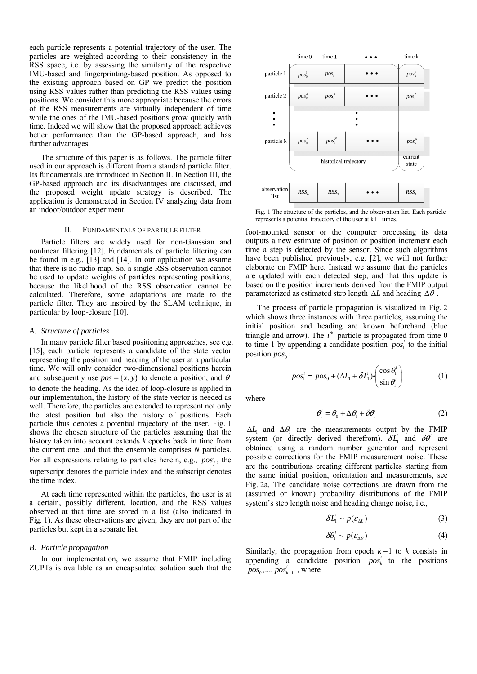each particle represents a potential trajectory of the user. The particles are weighted according to their consistency in the RSS space, i.e. by assessing the similarity of the respective IMU-based and fingerprinting-based position. As opposed to the existing approach based on GP we predict the position using RSS values rather than predicting the RSS values using positions. We consider this more appropriate because the errors of the RSS measurements are virtually independent of time while the ones of the IMU-based positions grow quickly with time. Indeed we will show that the proposed approach achieves better performance than the GP-based approach, and has further advantages.

 The structure of this paper is as follows. The particle filter used in our approach is different from a standard particle filter. Its fundamentals are introduced in Section II. In Section III, the GP-based approach and its disadvantages are discussed, and the proposed weight update strategy is described. The application is demonstrated in Section IV analyzing data from an indoor/outdoor experiment.

#### II. FUNDAMENTALS OF PARTICLE FILTER

Particle filters are widely used for non-Gaussian and nonlinear filtering [12]. Fundamentals of particle filtering can be found in e.g., [13] and [14]. In our application we assume that there is no radio map. So, a single RSS observation cannot be used to update weights of particles representing positions, because the likelihood of the RSS observation cannot be calculated. Therefore, some adaptations are made to the particle filter. They are inspired by the SLAM technique, in particular by loop-closure [10].

#### *A. Structure of particles*

In many particle filter based positioning approaches, see e.g. [15], each particle represents a candidate of the state vector representing the position and heading of the user at a particular time. We will only consider two-dimensional positions herein and subsequently use  $pos = \{x, y\}$  to denote a position, and  $\theta$ to denote the heading. As the idea of loop-closure is applied in our implementation, the history of the state vector is needed as well. Therefore, the particles are extended to represent not only the latest position but also the history of positions. Each particle thus denotes a potential trajectory of the user. Fig. 1 shows the chosen structure of the particles assuming that the history taken into account extends *k* epochs back in time from the current one, and that the ensemble comprises *N* particles. For all expressions relating to particles herein, e.g.,  $pos_j^i$ , the superscript denotes the particle index and the subscript denotes the time index.

At each time represented within the particles, the user is at a certain, possibly different, location, and the RSS values observed at that time are stored in a list (also indicated in Fig. 1). As these observations are given, they are not part of the particles but kept in a separate list.

#### *B. Particle propagation*

In our implementation, we assume that FMIP including ZUPTs is available as an encapsulated solution such that the



Fig. 1 The structure of the particles, and the observation list. Each particle represents a potential trajectory of the user at k+1 times.

foot-mounted sensor or the computer processing its data outputs a new estimate of position or position increment each time a step is detected by the sensor. Since such algorithms have been published previously, e.g. [2], we will not further elaborate on FMIP here. Instead we assume that the particles are updated with each detected step, and that this update is based on the position increments derived from the FMIP output parameterized as estimated step length Δ*L* and heading Δ<sup>θ</sup> .

The process of particle propagation is visualized in Fig. 2 which shows three instances with three particles, assuming the initial position and heading are known beforehand (blue triangle and arrow). The  $i<sup>th</sup>$  particle is propagated from time 0 to time 1 by appending a candidate position  $pos<sub>i</sub><sup>i</sup>$  to the initial position  $pos_0$ :

$$
pos_1^i = pos_0 + (\Delta L_1 + \delta L_1^i) \cdot \begin{pmatrix} \cos \theta_1^i \\ \sin \theta_1^i \end{pmatrix}
$$
 (1)

where

$$
\theta_1^i = \theta_0 + \Delta \theta_1 + \delta \theta_1^i \tag{2}
$$

 $\Delta L_1$  and  $\Delta \theta_1$  are the measurements output by the FMIP system (or directly derived therefrom).  $\delta L_1^i$  and  $\delta \theta_1^i$  are obtained using a random number generator and represent possible corrections for the FMIP measurement noise. These are the contributions creating different particles starting from the same initial position, orientation and measurements, see Fig. 2a. The candidate noise corrections are drawn from the (assumed or known) probability distributions of the FMIP system's step length noise and heading change noise, i.e.,

$$
\delta L_1^i \sim p(\varepsilon_{\Delta L})
$$
 (3)

$$
\delta\theta_{1}^{i} \sim p(\varepsilon_{\Delta\theta})
$$
 (4)

Similarly, the propagation from epoch *k* −1 to *k* consists in appending a candidate position  $pos_k^i$  to the positions  $pos_0, ..., pos_{k-1}^i$ , where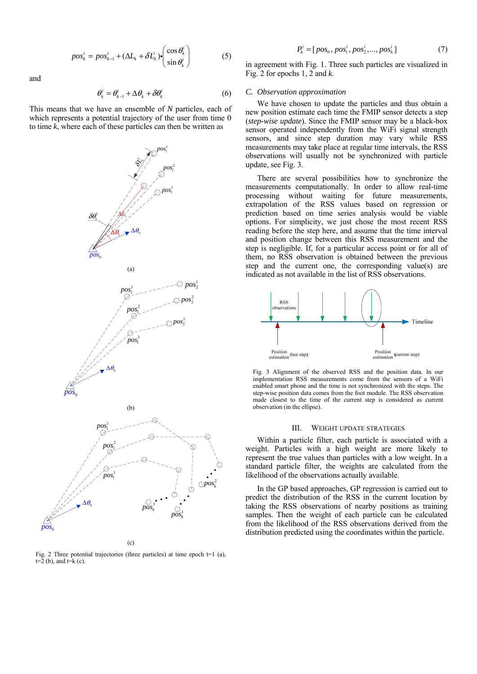$$
pos_k^i = pos_{k-1}^i + (\Delta L_k + \delta L_k^i) \cdot \begin{pmatrix} \cos \theta_k^i \\ \sin \theta_k^i \end{pmatrix}
$$
 (5)

and

$$
\theta_k^i = \theta_{k-1}^i + \Delta \theta_k + \delta \theta_k^i \tag{6}
$$

This means that we have an ensemble of *N* particles, each of which represents a potential trajectory of the user from time 0 to time *k*, where each of these particles can then be written as



(c)

Fig. 2 Three potential trajectories (three particles) at time epoch t=1 (a),  $t=2$  (b), and  $t=k$  (c).

$$
P_k^i = [pos_0, pos_1^i, pos_2^i, ..., pos_k^i]
$$
 (7)

in agreement with Fig. 1. Three such particles are visualized in Fig. 2 for epochs 1, 2 and *k*.

### *C. Observation approximation*

We have chosen to update the particles and thus obtain a new position estimate each time the FMIP sensor detects a step (*step-wise update*). Since the FMIP sensor may be a black-box sensor operated independently from the WiFi signal strength sensors, and since step duration may vary while RSS measurements may take place at regular time intervals, the RSS observations will usually not be synchronized with particle update, see Fig. 3.

There are several possibilities how to synchronize the measurements computationally. In order to allow real-time processing without waiting for future measurements, extrapolation of the RSS values based on regression or prediction based on time series analysis would be viable options. For simplicity, we just chose the most recent RSS reading before the step here, and assume that the time interval and position change between this RSS measurement and the step is negligible. If, for a particular access point or for all of them, no RSS observation is obtained between the previous step and the current one, the corresponding value(s) are indicated as not available in the list of RSS observations.



Fig. 3 Alignment of the observed RSS and the position data. In our implementation RSS measurements come from the sensors of a WiFi enabled smart phone and the time is not synchronized with the steps. The step-wise position data comes from the foot module. The RSS observation made closest to the time of the current step is considered as current observation (in the ellipse).

#### III. WEIGHT UPDATE STRATEGIES

Within a particle filter, each particle is associated with a weight. Particles with a high weight are more likely to represent the true values than particles with a low weight. In a standard particle filter, the weights are calculated from the likelihood of the observations actually available.

In the GP based approaches, GP regression is carried out to predict the distribution of the RSS in the current location by taking the RSS observations of nearby positions as training samples. Then the weight of each particle can be calculated from the likelihood of the RSS observations derived from the distribution predicted using the coordinates within the particle.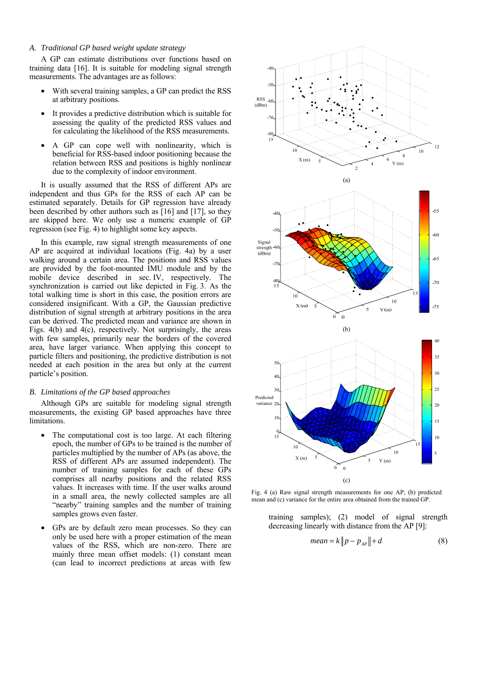# *A. Traditional GP based weight update strategy*

A GP can estimate distributions over functions based on training data [16]. It is suitable for modeling signal strength measurements. The advantages are as follows:

- With several training samples, a GP can predict the RSS at arbitrary positions.
- It provides a predictive distribution which is suitable for assessing the quality of the predicted RSS values and for calculating the likelihood of the RSS measurements.
- A GP can cope well with nonlinearity, which is beneficial for RSS-based indoor positioning because the relation between RSS and positions is highly nonlinear due to the complexity of indoor environment.

It is usually assumed that the RSS of different APs are independent and thus GPs for the RSS of each AP can be estimated separately. Details for GP regression have already been described by other authors such as [16] and [17], so they are skipped here. We only use a numeric example of GP regression (see Fig. 4) to highlight some key aspects.

In this example, raw signal strength measurements of one AP are acquired at individual locations (Fig. 4a) by a user walking around a certain area. The positions and RSS values are provided by the foot-mounted IMU module and by the mobile device described in sec. IV, respectively. The synchronization is carried out like depicted in Fig. 3. As the total walking time is short in this case, the position errors are considered insignificant. With a GP, the Gaussian predictive distribution of signal strength at arbitrary positions in the area can be derived. The predicted mean and variance are shown in Figs. 4(b) and 4(c), respectively. Not surprisingly, the areas with few samples, primarily near the borders of the covered area, have larger variance. When applying this concept to particle filters and positioning, the predictive distribution is not needed at each position in the area but only at the current particle's position.

#### *B. Limitations of the GP based approaches*

Although GPs are suitable for modeling signal strength measurements, the existing GP based approaches have three limitations.

- The computational cost is too large. At each filtering epoch, the number of GPs to be trained is the number of particles multiplied by the number of APs (as above, the RSS of different APs are assumed independent). The number of training samples for each of these GPs comprises all nearby positions and the related RSS values. It increases with time. If the user walks around in a small area, the newly collected samples are all "nearby" training samples and the number of training samples grows even faster.
- GPs are by default zero mean processes. So they can only be used here with a proper estimation of the mean values of the RSS, which are non-zero. There are mainly three mean offset models: (1) constant mean (can lead to incorrect predictions at areas with few



Fig. 4 (a) Raw signal strength measurements for one AP; (b) predicted mean and (c) variance for the entire area obtained from the trained GP.

training samples); (2) model of signal strength decreasing linearly with distance from the AP [9]:

$$
mean = k ||p - p_{AP}|| + d \tag{8}
$$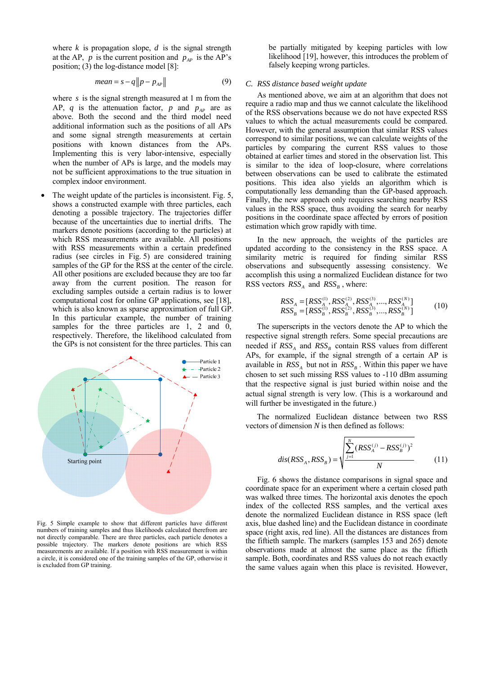where  $k$  is propagation slope,  $d$  is the signal strength at the AP,  $p$  is the current position and  $p_{AP}$  is the AP's position; (3) the log-distance model [8]:

$$
mean = s - q ||p - p_{AP}|| \tag{9}
$$

where *s* is the signal strength measured at 1 m from the AP,  $q$  is the attenuation factor,  $p$  and  $p_{AP}$  are as above. Both the second and the third model need additional information such as the positions of all APs and some signal strength measurements at certain positions with known distances from the APs. Implementing this is very labor-intensive, especially when the number of APs is large, and the models may not be sufficient approximations to the true situation in complex indoor environment.

The weight update of the particles is inconsistent. Fig. 5, shows a constructed example with three particles, each denoting a possible trajectory. The trajectories differ because of the uncertainties due to inertial drifts. The markers denote positions (according to the particles) at which RSS measurements are available. All positions with RSS measurements within a certain predefined radius (see circles in Fig. 5) are considered training samples of the GP for the RSS at the center of the circle. All other positions are excluded because they are too far away from the current position. The reason for excluding samples outside a certain radius is to lower computational cost for online GP applications, see [18], which is also known as sparse approximation of full GP. In this particular example, the number of training samples for the three particles are 1, 2 and 0, respectively. Therefore, the likelihood calculated from the GPs is not consistent for the three particles. This can



Fig. 5 Simple example to show that different particles have different numbers of training samples and thus likelihoods calculated therefrom are not directly comparable. There are three particles, each particle denotes a possible trajectory. The markers denote positions are which RSS measurements are available. If a position with RSS measurement is within a circle, it is considered one of the training samples of the GP, otherwise it is excluded from GP training.

be partially mitigated by keeping particles with low likelihood [19], however, this introduces the problem of falsely keeping wrong particles.

#### *C. RSS distance based weight update*

As mentioned above, we aim at an algorithm that does not require a radio map and thus we cannot calculate the likelihood of the RSS observations because we do not have expected RSS values to which the actual measurements could be compared. However, with the general assumption that similar RSS values correspond to similar positions, we can calculate weights of the particles by comparing the current RSS values to those obtained at earlier times and stored in the observation list. This is similar to the idea of loop-closure, where correlations between observations can be used to calibrate the estimated positions. This idea also yields an algorithm which is computationally less demanding than the GP-based approach. Finally, the new approach only requires searching nearby RSS values in the RSS space, thus avoiding the search for nearby positions in the coordinate space affected by errors of position estimation which grow rapidly with time.

In the new approach, the weights of the particles are updated according to the consistency in the RSS space. A similarity metric is required for finding similar RSS observations and subsequently assessing consistency. We accomplish this using a normalized Euclidean distance for two RSS vectors  $RSS<sub>A</sub>$  and  $RSS<sub>B</sub>$ , where:

$$
RSS_A = [RSS_A^{(1)}, RSS_A^{(2)}, RSS_A^{(3)}, ..., RSS_A^{(N)}]
$$
  
\n
$$
RSS_B = [RSS_B^{(1)}, RSS_B^{(2)}, RSS_B^{(3)}, ..., RSS_B^{(N)}]
$$
\n(10)

The superscripts in the vectors denote the AP to which the respective signal strength refers. Some special precautions are needed if  $RSS<sub>A</sub>$  and  $RSS<sub>B</sub>$  contain RSS values from different APs, for example, if the signal strength of a certain AP is available in  $RSS<sub>A</sub>$  but not in  $RSS<sub>B</sub>$ . Within this paper we have chosen to set such missing RSS values to -110 dBm assuming that the respective signal is just buried within noise and the actual signal strength is very low. (This is a workaround and will further be investigated in the future.)

The normalized Euclidean distance between two RSS vectors of dimension *N* is then defined as follows:

$$
dis(RSS_A, RSS_B) = \sqrt{\frac{\sum_{j=1}^{N} (RSS_A^{(j)} - RSS_B^{(j)})^2}{N}}
$$
(11)

Fig. 6 shows the distance comparisons in signal space and coordinate space for an experiment where a certain closed path was walked three times. The horizontal axis denotes the epoch index of the collected RSS samples, and the vertical axes denote the normalized Euclidean distance in RSS space (left axis, blue dashed line) and the Euclidean distance in coordinate space (right axis, red line). All the distances are distances from the fiftieth sample. The markers (samples 153 and 265) denote observations made at almost the same place as the fiftieth sample. Both, coordinates and RSS values do not reach exactly the same values again when this place is revisited. However,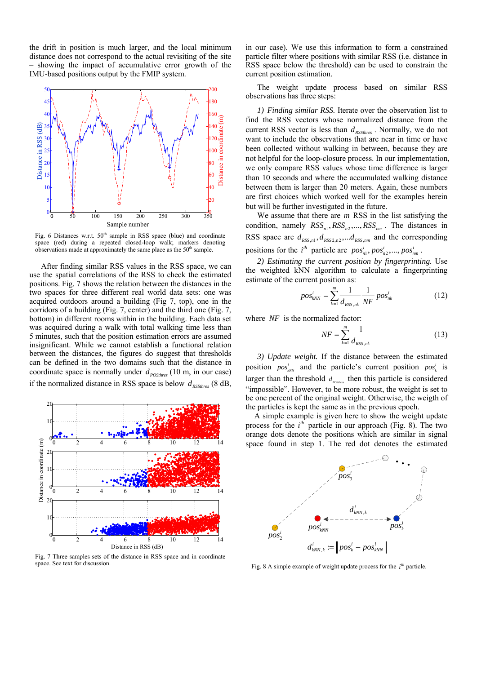the drift in position is much larger, and the local minimum distance does not correspond to the actual revisiting of the site showing the impact of accumulative error growth of the IMU-based positions output by the FMIP system.



Fig. 6 Distances w.r.t. 50<sup>th</sup> sample in RSS space (blue) and coordinate space (red) during a repeated closed-loop walk; markers denoting observations made at approximately the same place as the  $50<sup>th</sup>$  sample.

 After finding similar RSS values in the RSS space, we can use the spatial correlations of the RSS to check the estimated positions. Fig. 7 shows the relation between the distances in the two spaces for three different real world data sets: one was acquired outdoors around a building (Fig 7, top), one in the corridors of a building (Fig. 7, center) and the third one (Fig. 7, bottom) in different rooms within in the building. Each data set was acquired during a walk with total walking time less than 5 minutes, such that the position estimation errors are assumed insignificant. While we cannot establish a functional relation between the distances, the figures do suggest that thresholds can be defined in the two domains such that the distance in coordinate space is normally under  $d_{\textit{posthres}}$  (10 m, in our case) if the normalized distance in RSS space is below  $d_{\textit{RSSthres}}$  (8 dB,



Fig. 7 Three samples sets of the distance in RSS space and in coordinate space. See text for discussion.

in our case). We use this information to form a constrained particle filter where positions with similar RSS (i.e. distance in RSS space below the threshold) can be used to constrain the current position estimation.

The weight update process based on similar RSS observations has three steps:

*1) Finding similar RSS.* Iterate over the observation list to find the RSS vectors whose normalized distance from the current RSS vector is less than  $d_{\textit{RSSthres}}$ . Normally, we do not want to include the observations that are near in time or have been collected without walking in between, because they are not helpful for the loop-closure process. In our implementation, we only compare RSS values whose time difference is larger than 10 seconds and where the accumulated walking distance between them is larger than 20 meters. Again, these numbers are first choices which worked well for the examples herein but will be further investigated in the future.

We assume that there are *m* RSS in the list satisfying the condition, namely  $RSS_{n1}$ ,  $RSS_{n2}$ , ...,  $RSS_{nm}$ . The distances in RSS space are  $d_{RSS,n1}$ ,  $d_{RSS2,n2}$ , ...  $d_{RSS,nm}$  and the corresponding positions for the  $i^{th}$  particle are  $pos_{n1}^i, pos_{n2}^i, ..., pos_{nm}^i$ .

*2) Estimating the current position by fingerprinting.* Use the weighted kNN algorithm to calculate a fingerprinting estimate of the current position as:

$$
pos_{kNN}^i = \sum_{k=1}^m \frac{1}{d_{RSS,nk}} \frac{1}{NF} pos_{nk}^i
$$
 (12)

where *NF* is the normalized factor:

$$
NF = \sum_{k=1}^{m} \frac{1}{d_{RSS,nk}}
$$
 (13)

*3) Update weight.* If the distance between the estimated position  $pos_{kNN}^i$  and the particle's current position  $pos_k^i$  is larger than the threshold  $d_{\text{possies}}$  then this particle is considered "impossible". However, to be more robust, the weight is set to be one percent of the original weight. Otherwise, the weigth of the particles is kept the same as in the previous epoch.

A simple example is given here to show the weight update process for the  $i<sup>th</sup>$  particle in our approach (Fig. 8). The two orange dots denote the positions which are similar in signal space found in step 1. The red dot denotes the estimated



Fig. 8 A simple example of weight update process for the  $i<sup>th</sup>$  particle.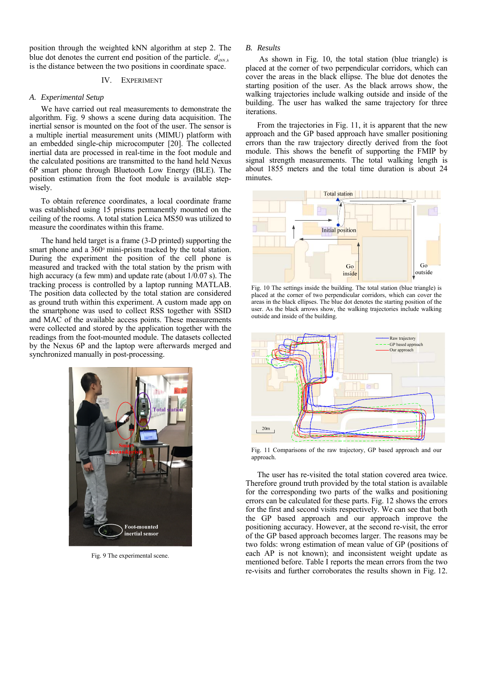position through the weighted kNN algorithm at step 2. The blue dot denotes the current end position of the particle.  $d_{kNN,k}^{i}$ is the distance between the two positions in coordinate space.

#### IV. EXPERIMENT

#### *A. Experimental Setup*

We have carried out real measurements to demonstrate the algorithm. Fig. 9 shows a scene during data acquisition. The inertial sensor is mounted on the foot of the user. The sensor is a multiple inertial measurement units (MIMU) platform with an embedded single-chip microcomputer [20]. The collected inertial data are processed in real-time in the foot module and the calculated positions are transmitted to the hand held Nexus 6P smart phone through Bluetooth Low Energy (BLE). The position estimation from the foot module is available stepwisely.

To obtain reference coordinates, a local coordinate frame was established using 15 prisms permanently mounted on the ceiling of the rooms. A total station Leica MS50 was utilized to measure the coordinates within this frame.

The hand held target is a frame (3-D printed) supporting the smart phone and a 360° mini-prism tracked by the total station. During the experiment the position of the cell phone is measured and tracked with the total station by the prism with high accuracy (a few mm) and update rate (about  $1/0.07$  s). The tracking process is controlled by a laptop running MATLAB. The position data collected by the total station are considered as ground truth within this experiment. A custom made app on the smartphone was used to collect RSS together with SSID and MAC of the available access points. These measurements were collected and stored by the application together with the readings from the foot-mounted module. The datasets collected by the Nexus 6P and the laptop were afterwards merged and synchronized manually in post-processing.



Fig. 9 The experimental scene.

## *B. Results*

 As shown in Fig. 10, the total station (blue triangle) is placed at the corner of two perpendicular corridors, which can cover the areas in the black ellipse. The blue dot denotes the starting position of the user. As the black arrows show, the walking trajectories include walking outside and inside of the building. The user has walked the same trajectory for three iterations.

From the trajectories in Fig. 11, it is apparent that the new approach and the GP based approach have smaller positioning errors than the raw trajectory directly derived from the foot module. This shows the benefit of supporting the FMIP by signal strength measurements. The total walking length is about 1855 meters and the total time duration is about 24 minutes.



Fig. 10 The settings inside the building. The total station (blue triangle) is placed at the corner of two perpendicular corridors, which can cover the areas in the black ellipses. The blue dot denotes the starting position of the user. As the black arrows show, the walking trajectories include walking outside and inside of the building.



Fig. 11 Comparisons of the raw trajectory, GP based approach and our approach.

The user has re-visited the total station covered area twice. Therefore ground truth provided by the total station is available for the corresponding two parts of the walks and positioning errors can be calculated for these parts. Fig. 12 shows the errors for the first and second visits respectively. We can see that both the GP based approach and our approach improve the positioning accuracy. However, at the second re-visit, the error of the GP based approach becomes larger. The reasons may be two folds: wrong estimation of mean value of GP (positions of each AP is not known); and inconsistent weight update as mentioned before. Table I reports the mean errors from the two re-visits and further corroborates the results shown in Fig. 12.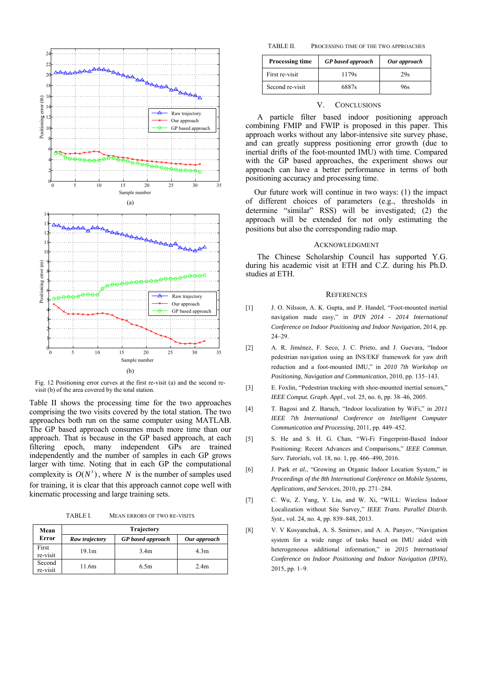

Fig. 12 Positioning error curves at the first re-visit (a) and the second revisit (b) of the area covered by the total station.

Table II shows the processing time for the two approaches comprising the two visits covered by the total station. The two approaches both run on the same computer using MATLAB. The GP based approach consumes much more time than our approach. That is because in the GP based approach, at each filtering epoch, many independent GPs are trained independently and the number of samples in each GP grows larger with time. Noting that in each GP the computational complexity is  $O(N^3)$ , where *N* is the number of samples used for training, it is clear that this approach cannot cope well with kinematic processing and large training sets.

TABLE I. MEAN ERRORS OF TWO RE-VISITS

| Mean               | Trajectory     |                          |                  |
|--------------------|----------------|--------------------------|------------------|
| Error              | Raw trajectory | <b>GP</b> based approach | Our approach     |
| First<br>re-visit  | 19.1m          | 3.4 <sub>m</sub>         | 4.3 <sub>m</sub> |
| Second<br>re-visit | 11.6m          | 6.5m                     | 2.4 <sub>m</sub> |

TABLE II. PROCESSING TIME OF THE TWO APPROACHES

| <b>Processing time</b> | <b>GP</b> based approach | Our approach |
|------------------------|--------------------------|--------------|
| First re-visit         | 1179s                    | 29s          |
| Second re-visit        | 6887s                    | 96s          |

#### V. CONCLUSIONS

A particle filter based indoor positioning approach combining FMIP and FWIP is proposed in this paper. This approach works without any labor-intensive site survey phase, and can greatly suppress positioning error growth (due to inertial drifts of the foot-mounted IMU) with time. Compared with the GP based approaches, the experiment shows our approach can have a better performance in terms of both positioning accuracy and processing time.

Our future work will continue in two ways: (1) the impact of different choices of parameters (e.g., thresholds in determine "similar" RSS) will be investigated; (2) the approach will be extended for not only estimating the positions but also the corresponding radio map.

#### ACKNOWLEDGMENT

The Chinese Scholarship Council has supported Y.G. during his academic visit at ETH and C.Z. during his Ph.D. studies at ETH.

#### **REFERENCES**

- [1] J. O. Nilsson, A. K. Gupta, and P. Handel, "Foot-mounted inertial navigation made easy," in *IPIN 2014 - 2014 International Conference on Indoor Positioning and Indoor Navigation*, 2014, pp. 24–29.
- [2] A. R. Jiménez, F. Seco, J. C. Prieto, and J. Guevara, "Indoor pedestrian navigation using an INS/EKF framework for yaw drift reduction and a foot-mounted IMU," in *2010 7th Workshop on Positioning, Navigation and Communication*, 2010, pp. 135–143.
- [3] E. Foxlin, "Pedestrian tracking with shoe-mounted inertial sensors," *IEEE Comput. Graph. Appl.*, vol. 25, no. 6, pp. 38–46, 2005.
- [4] T. Bagosi and Z. Baruch, "Indoor localization by WiFi," in *2011 IEEE 7th International Conference on Intelligent Computer Communication and Processing*, 2011, pp. 449–452.
- [5] S. He and S. H. G. Chan, "Wi-Fi Fingerprint-Based Indoor Positioning: Recent Advances and Comparisons," *IEEE Commun. Surv. Tutorials*, vol. 18, no. 1, pp. 466–490, 2016.
- [6] J. Park *et al.*, "Growing an Organic Indoor Location System," in *Proceedings of the 8th International Conference on Mobile Systems, Applications, and Services*, 2010, pp. 271–284.
- [7] C. Wu, Z. Yang, Y. Liu, and W. Xi, "WILL: Wireless Indoor Localization without Site Survey," *IEEE Trans. Parallel Distrib. Syst.*, vol. 24, no. 4, pp. 839–848, 2013.
- [8] V. V Kosyanchuk, A. S. Smirnov, and A. A. Panyov, "Navigation system for a wide range of tasks based on IMU aided with heterogeneous additional information," in *2015 International Conference on Indoor Positioning and Indoor Navigation (IPIN)*, 2015, pp. 1–9.